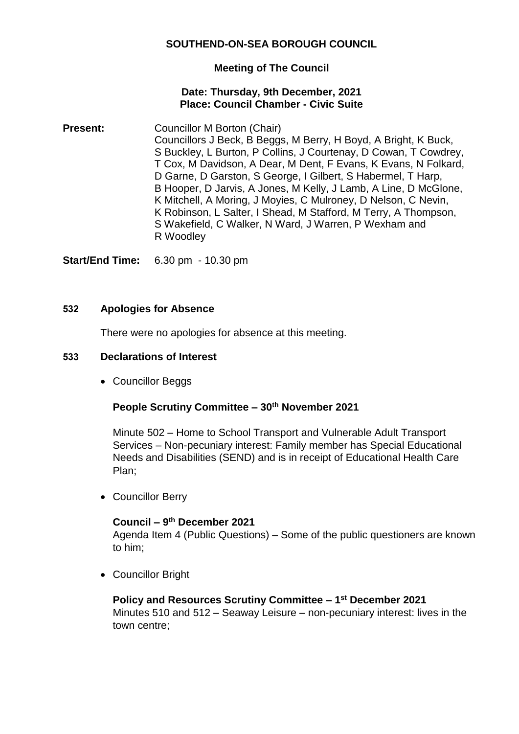### **SOUTHEND-ON-SEA BOROUGH COUNCIL**

### **Meeting of The Council**

#### **Date: Thursday, 9th December, 2021 Place: Council Chamber - Civic Suite**

**Present:** Councillor M Borton (Chair) Councillors J Beck, B Beggs, M Berry, H Boyd, A Bright, K Buck, S Buckley, L Burton, P Collins, J Courtenay, D Cowan, T Cowdrey, T Cox, M Davidson, A Dear, M Dent, F Evans, K Evans, N Folkard, D Garne, D Garston, S George, I Gilbert, S Habermel, T Harp, B Hooper, D Jarvis, A Jones, M Kelly, J Lamb, A Line, D McGlone, K Mitchell, A Moring, J Moyies, C Mulroney, D Nelson, C Nevin, K Robinson, L Salter, I Shead, M Stafford, M Terry, A Thompson, S Wakefield, C Walker, N Ward, J Warren, P Wexham and R Woodley

**Start/End Time:** 6.30 pm - 10.30 pm

#### **532 Apologies for Absence**

There were no apologies for absence at this meeting.

#### **533 Declarations of Interest**

Councillor Beggs

### **People Scrutiny Committee – 30th November 2021**

Minute 502 – Home to School Transport and Vulnerable Adult Transport Services – Non-pecuniary interest: Family member has Special Educational Needs and Disabilities (SEND) and is in receipt of Educational Health Care Plan;

Councillor Berry

### **Council – 9 th December 2021**

Agenda Item 4 (Public Questions) – Some of the public questioners are known to him;

Councillor Bright

### **Policy and Resources Scrutiny Committee – 1 st December 2021** Minutes 510 and 512 – Seaway Leisure – non-pecuniary interest: lives in the town centre;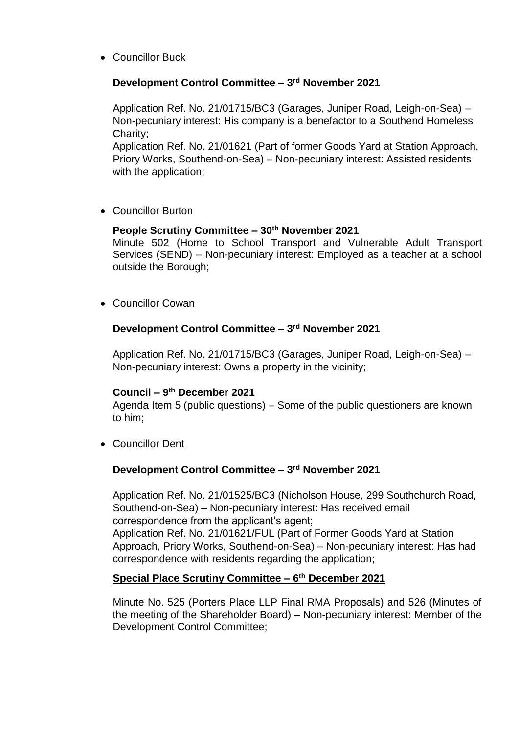Councillor Buck

# **Development Control Committee – 3 rd November 2021**

Application Ref. No. 21/01715/BC3 (Garages, Juniper Road, Leigh-on-Sea) – Non-pecuniary interest: His company is a benefactor to a Southend Homeless Charity;

Application Ref. No. 21/01621 (Part of former Goods Yard at Station Approach, Priory Works, Southend-on-Sea) – Non-pecuniary interest: Assisted residents with the application;

• Councillor Burton

# **People Scrutiny Committee – 30th November 2021**

Minute 502 (Home to School Transport and Vulnerable Adult Transport Services (SEND) – Non-pecuniary interest: Employed as a teacher at a school outside the Borough;

Councillor Cowan

# **Development Control Committee – 3 rd November 2021**

Application Ref. No. 21/01715/BC3 (Garages, Juniper Road, Leigh-on-Sea) – Non-pecuniary interest: Owns a property in the vicinity;

# **Council – 9 th December 2021**

Agenda Item 5 (public questions) – Some of the public questioners are known to him;

Councillor Dent

# **Development Control Committee – 3 rd November 2021**

Application Ref. No. 21/01525/BC3 (Nicholson House, 299 Southchurch Road, Southend-on-Sea) – Non-pecuniary interest: Has received email correspondence from the applicant's agent;

Application Ref. No. 21/01621/FUL (Part of Former Goods Yard at Station Approach, Priory Works, Southend-on-Sea) – Non-pecuniary interest: Has had correspondence with residents regarding the application;

# **Special Place Scrutiny Committee – 6 th December 2021**

Minute No. 525 (Porters Place LLP Final RMA Proposals) and 526 (Minutes of the meeting of the Shareholder Board) – Non-pecuniary interest: Member of the Development Control Committee;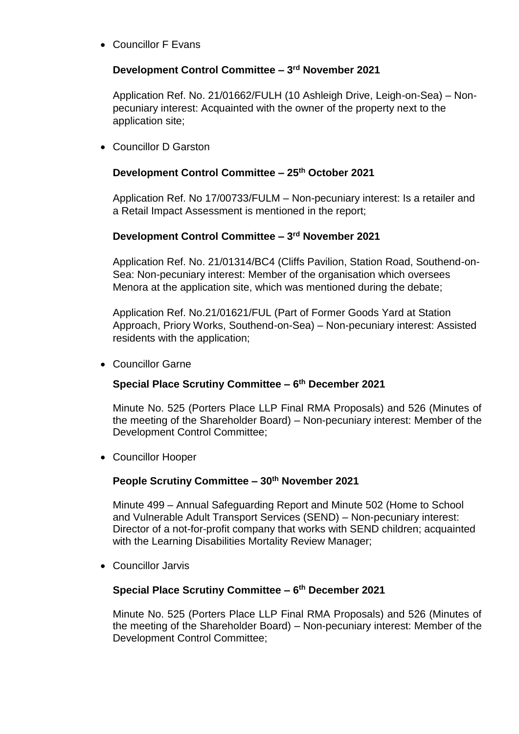Councillor F Evans

# **Development Control Committee – 3 rd November 2021**

Application Ref. No. 21/01662/FULH (10 Ashleigh Drive, Leigh-on-Sea) – Nonpecuniary interest: Acquainted with the owner of the property next to the application site;

Councillor D Garston

# **Development Control Committee – 25th October 2021**

Application Ref. No 17/00733/FULM – Non-pecuniary interest: Is a retailer and a Retail Impact Assessment is mentioned in the report;

# **Development Control Committee – 3 rd November 2021**

Application Ref. No. 21/01314/BC4 (Cliffs Pavilion, Station Road, Southend-on-Sea: Non-pecuniary interest: Member of the organisation which oversees Menora at the application site, which was mentioned during the debate;

Application Ref. No.21/01621/FUL (Part of Former Goods Yard at Station Approach, Priory Works, Southend-on-Sea) – Non-pecuniary interest: Assisted residents with the application;

Councillor Garne

# **Special Place Scrutiny Committee – 6 th December 2021**

Minute No. 525 (Porters Place LLP Final RMA Proposals) and 526 (Minutes of the meeting of the Shareholder Board) – Non-pecuniary interest: Member of the Development Control Committee;

Councillor Hooper

# **People Scrutiny Committee – 30th November 2021**

Minute 499 – Annual Safeguarding Report and Minute 502 (Home to School and Vulnerable Adult Transport Services (SEND) – Non-pecuniary interest: Director of a not-for-profit company that works with SEND children; acquainted with the Learning Disabilities Mortality Review Manager;

Councillor Jarvis

### **Special Place Scrutiny Committee – 6 th December 2021**

Minute No. 525 (Porters Place LLP Final RMA Proposals) and 526 (Minutes of the meeting of the Shareholder Board) – Non-pecuniary interest: Member of the Development Control Committee;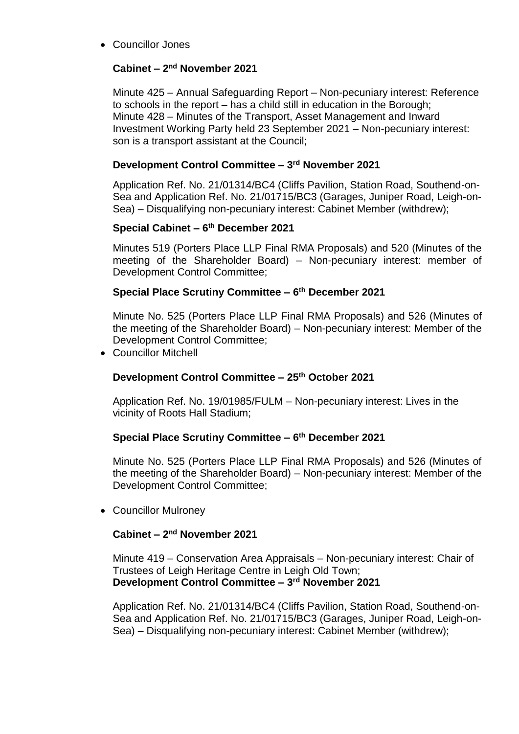Councillor Jones

# **Cabinet – 2 nd November 2021**

Minute 425 – Annual Safeguarding Report – Non-pecuniary interest: Reference to schools in the report – has a child still in education in the Borough; Minute 428 – Minutes of the Transport, Asset Management and Inward Investment Working Party held 23 September 2021 – Non-pecuniary interest: son is a transport assistant at the Council;

# **Development Control Committee – 3 rd November 2021**

Application Ref. No. 21/01314/BC4 (Cliffs Pavilion, Station Road, Southend-on-Sea and Application Ref. No. 21/01715/BC3 (Garages, Juniper Road, Leigh-on-Sea) – Disqualifying non-pecuniary interest: Cabinet Member (withdrew);

# **Special Cabinet – 6 th December 2021**

Minutes 519 (Porters Place LLP Final RMA Proposals) and 520 (Minutes of the meeting of the Shareholder Board) – Non-pecuniary interest: member of Development Control Committee;

# **Special Place Scrutiny Committee – 6 th December 2021**

Minute No. 525 (Porters Place LLP Final RMA Proposals) and 526 (Minutes of the meeting of the Shareholder Board) – Non-pecuniary interest: Member of the Development Control Committee;

Councillor Mitchell

# **Development Control Committee – 25th October 2021**

Application Ref. No. 19/01985/FULM – Non-pecuniary interest: Lives in the vicinity of Roots Hall Stadium;

# **Special Place Scrutiny Committee – 6 th December 2021**

Minute No. 525 (Porters Place LLP Final RMA Proposals) and 526 (Minutes of the meeting of the Shareholder Board) – Non-pecuniary interest: Member of the Development Control Committee;

Councillor Mulroney

# **Cabinet – 2 nd November 2021**

Minute 419 – Conservation Area Appraisals – Non-pecuniary interest: Chair of Trustees of Leigh Heritage Centre in Leigh Old Town; **Development Control Committee – 3 rd November 2021**

Application Ref. No. 21/01314/BC4 (Cliffs Pavilion, Station Road, Southend-on-Sea and Application Ref. No. 21/01715/BC3 (Garages, Juniper Road, Leigh-on-Sea) – Disqualifying non-pecuniary interest: Cabinet Member (withdrew);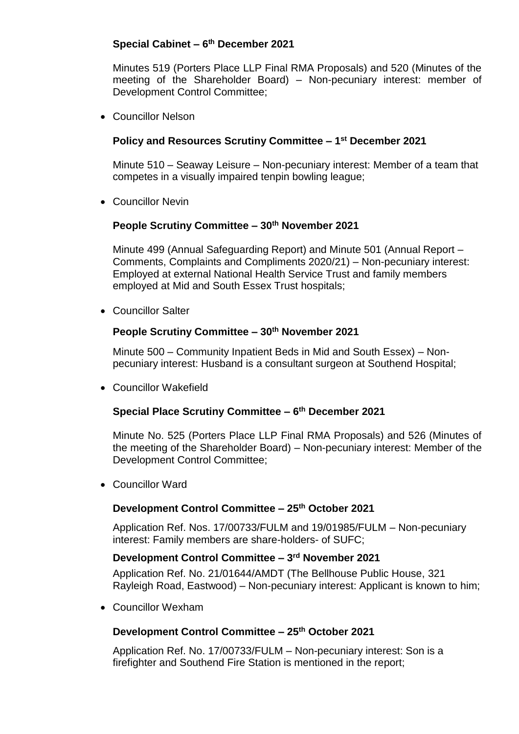# **Special Cabinet – 6 th December 2021**

Minutes 519 (Porters Place LLP Final RMA Proposals) and 520 (Minutes of the meeting of the Shareholder Board) – Non-pecuniary interest: member of Development Control Committee;

Councillor Nelson

### **Policy and Resources Scrutiny Committee – 1 st December 2021**

Minute 510 – Seaway Leisure – Non-pecuniary interest: Member of a team that competes in a visually impaired tenpin bowling league;

Councillor Nevin

### **People Scrutiny Committee – 30th November 2021**

Minute 499 (Annual Safeguarding Report) and Minute 501 (Annual Report – Comments, Complaints and Compliments 2020/21) – Non-pecuniary interest: Employed at external National Health Service Trust and family members employed at Mid and South Essex Trust hospitals;

Councillor Salter

### **People Scrutiny Committee – 30th November 2021**

Minute 500 – Community Inpatient Beds in Mid and South Essex) – Nonpecuniary interest: Husband is a consultant surgeon at Southend Hospital;

Councillor Wakefield

### **Special Place Scrutiny Committee – 6 th December 2021**

Minute No. 525 (Porters Place LLP Final RMA Proposals) and 526 (Minutes of the meeting of the Shareholder Board) – Non-pecuniary interest: Member of the Development Control Committee;

Councillor Ward

### **Development Control Committee – 25th October 2021**

Application Ref. Nos. 17/00733/FULM and 19/01985/FULM – Non-pecuniary interest: Family members are share-holders- of SUFC;

### **Development Control Committee – 3 rd November 2021**

Application Ref. No. 21/01644/AMDT (The Bellhouse Public House, 321 Rayleigh Road, Eastwood) – Non-pecuniary interest: Applicant is known to him;

Councillor Wexham

### **Development Control Committee – 25th October 2021**

Application Ref. No. 17/00733/FULM – Non-pecuniary interest: Son is a firefighter and Southend Fire Station is mentioned in the report;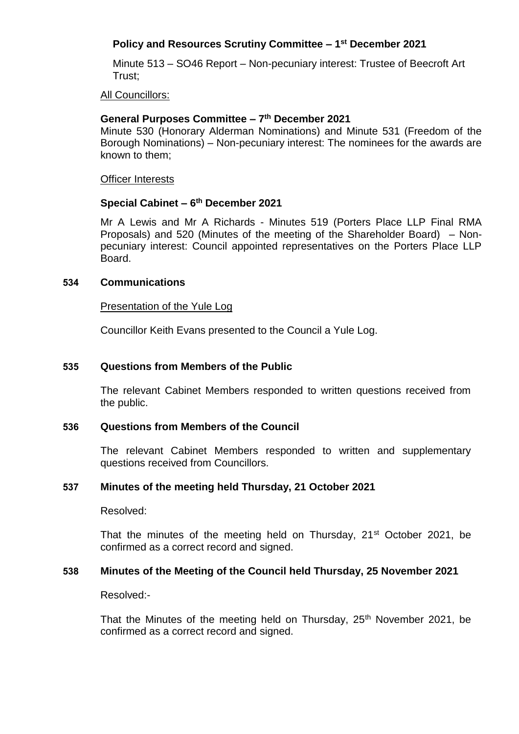# **Policy and Resources Scrutiny Committee – 1 st December 2021**

Minute 513 – SO46 Report – Non-pecuniary interest: Trustee of Beecroft Art Trust;

All Councillors:

#### **General Purposes Committee – 7 th December 2021**

Minute 530 (Honorary Alderman Nominations) and Minute 531 (Freedom of the Borough Nominations) – Non-pecuniary interest: The nominees for the awards are known to them;

Officer Interests

### **Special Cabinet – 6 th December 2021**

Mr A Lewis and Mr A Richards - Minutes 519 (Porters Place LLP Final RMA Proposals) and 520 (Minutes of the meeting of the Shareholder Board) – Nonpecuniary interest: Council appointed representatives on the Porters Place LLP Board.

#### **534 Communications**

#### Presentation of the Yule Log

Councillor Keith Evans presented to the Council a Yule Log.

#### **535 Questions from Members of the Public**

The relevant Cabinet Members responded to written questions received from the public.

#### **536 Questions from Members of the Council**

The relevant Cabinet Members responded to written and supplementary questions received from Councillors.

#### **537 Minutes of the meeting held Thursday, 21 October 2021**

Resolved:

That the minutes of the meeting held on Thursday, 21<sup>st</sup> October 2021, be confirmed as a correct record and signed.

### **538 Minutes of the Meeting of the Council held Thursday, 25 November 2021**

Resolved:-

That the Minutes of the meeting held on Thursday, 25<sup>th</sup> November 2021. be confirmed as a correct record and signed.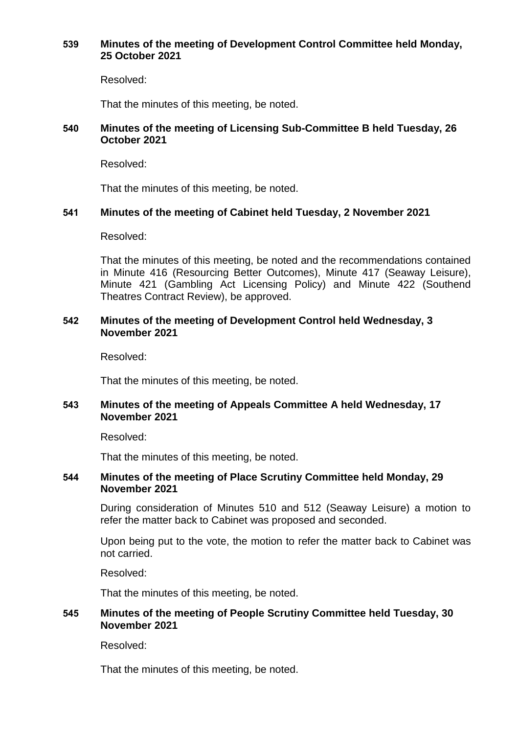#### **539 Minutes of the meeting of Development Control Committee held Monday, 25 October 2021**

Resolved:

That the minutes of this meeting, be noted.

#### **540 Minutes of the meeting of Licensing Sub-Committee B held Tuesday, 26 October 2021**

Resolved:

That the minutes of this meeting, be noted.

### **541 Minutes of the meeting of Cabinet held Tuesday, 2 November 2021**

Resolved:

That the minutes of this meeting, be noted and the recommendations contained in Minute 416 (Resourcing Better Outcomes), Minute 417 (Seaway Leisure), Minute 421 (Gambling Act Licensing Policy) and Minute 422 (Southend Theatres Contract Review), be approved.

#### **542 Minutes of the meeting of Development Control held Wednesday, 3 November 2021**

Resolved:

That the minutes of this meeting, be noted.

### **543 Minutes of the meeting of Appeals Committee A held Wednesday, 17 November 2021**

Resolved:

That the minutes of this meeting, be noted.

#### **544 Minutes of the meeting of Place Scrutiny Committee held Monday, 29 November 2021**

During consideration of Minutes 510 and 512 (Seaway Leisure) a motion to refer the matter back to Cabinet was proposed and seconded.

Upon being put to the vote, the motion to refer the matter back to Cabinet was not carried.

Resolved:

That the minutes of this meeting, be noted.

### **545 Minutes of the meeting of People Scrutiny Committee held Tuesday, 30 November 2021**

Resolved:

That the minutes of this meeting, be noted.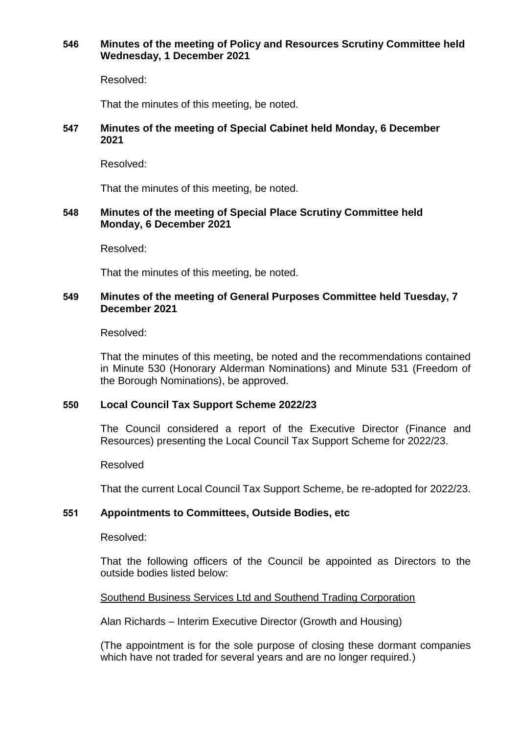### **546 Minutes of the meeting of Policy and Resources Scrutiny Committee held Wednesday, 1 December 2021**

Resolved:

That the minutes of this meeting, be noted.

### **547 Minutes of the meeting of Special Cabinet held Monday, 6 December 2021**

Resolved:

That the minutes of this meeting, be noted.

### **548 Minutes of the meeting of Special Place Scrutiny Committee held Monday, 6 December 2021**

Resolved:

That the minutes of this meeting, be noted.

### **549 Minutes of the meeting of General Purposes Committee held Tuesday, 7 December 2021**

Resolved:

That the minutes of this meeting, be noted and the recommendations contained in Minute 530 (Honorary Alderman Nominations) and Minute 531 (Freedom of the Borough Nominations), be approved.

### **550 Local Council Tax Support Scheme 2022/23**

The Council considered a report of the Executive Director (Finance and Resources) presenting the Local Council Tax Support Scheme for 2022/23.

Resolved

That the current Local Council Tax Support Scheme, be re-adopted for 2022/23.

### **551 Appointments to Committees, Outside Bodies, etc**

#### Resolved:

That the following officers of the Council be appointed as Directors to the outside bodies listed below:

Southend Business Services Ltd and Southend Trading Corporation

Alan Richards – Interim Executive Director (Growth and Housing)

(The appointment is for the sole purpose of closing these dormant companies which have not traded for several vears and are no longer required.)